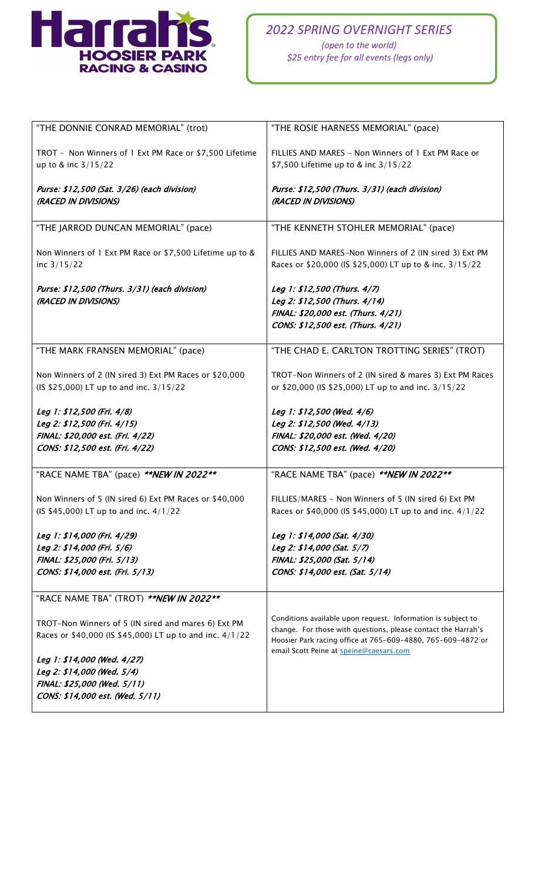

| "THE DONNIE CONRAD MEMORIAL" (trot)                      | "THE ROSIE HARNESS MEMORIAL" (pace)                                                                                          |
|----------------------------------------------------------|------------------------------------------------------------------------------------------------------------------------------|
| TROT - Non Winners of 1 Ext PM Race or \$7,500 Lifetime  | FILLIES AND MARES - Non Winners of 1 Ext PM Race or                                                                          |
| up to & inc 3/15/22                                      | \$7,500 Lifetime up to & inc 3/15/22                                                                                         |
| Purse: \$12,500 (Sat. 3/26) (each division)              | Purse: \$12,500 (Thurs. 3/31) (each division)                                                                                |
| (RACED IN DIVISIONS)                                     | (RACED IN DIVISIONS)                                                                                                         |
| "THE JARROD DUNCAN MEMORIAL" (pace)                      | "THE KENNETH STOHLER MEMORIAL" (pace)                                                                                        |
| Non Winners of 1 Ext PM Race or \$7,500 Lifetime up to & | FILLIES AND MARES-Non Winners of 2 (IN sired 3) Ext PM                                                                       |
| inc $3/15/22$                                            | Races or \$20,000 (IS \$25,000) LT up to & inc. 3/15/22                                                                      |
| Purse: \$12,500 (Thurs. 3/31) (each division)            | Leg 1: \$12,500 (Thurs. 4/7)                                                                                                 |
| (RACED IN DIVISIONS)                                     | Leg 2: \$12,500 (Thurs. 4/14)                                                                                                |
|                                                          | FINAL: \$20,000 est. (Thurs. 4/21)                                                                                           |
|                                                          | CONS: \$12,500 est. (Thurs. 4/21)                                                                                            |
|                                                          |                                                                                                                              |
| "THE MARK FRANSEN MEMORIAL" (pace)                       | "THE CHAD E. CARLTON TROTTING SERIES" (TROT)                                                                                 |
| Non Winners of 2 (IN sired 3) Ext PM Races or \$20,000   | TROT-Non Winners of 2 (IN sired & mares 3) Ext PM Races                                                                      |
| (IS \$25,000) LT up to and inc. 3/15/22                  | or \$20,000 (IS \$25,000) LT up to and inc. 3/15/22                                                                          |
| Leg 1: \$12,500 (Fri. 4/8)                               | Leg 1: \$12,500 (Wed. 4/6)                                                                                                   |
| Leg 2: \$12,500 (Fri. 4/15)                              | Leg 2: \$12,500 (Wed. 4/13)                                                                                                  |
| FINAL: \$20,000 est. (Fri. 4/22)                         | FINAL: \$20,000 est. (Wed. 4/20)                                                                                             |
| CONS: \$12,500 est. (Fri. 4/22)                          | CONS: \$12,500 est. (Wed. 4/20)                                                                                              |
|                                                          |                                                                                                                              |
| "RACE NAME TBA" (pace) ** NEW IN 2022**                  | "RACE NAME TBA" (pace) ** NEW IN 2022**                                                                                      |
| Non Winners of 5 (IN sired 6) Ext PM Races or \$40,000   | FILLIES/MARES - Non Winners of 5 (IN sired 6) Ext PM                                                                         |
| (IS \$45,000) LT up to and inc. 4/1/22                   | Races or \$40,000 (IS \$45,000) LT up to and inc. 4/1/22                                                                     |
| Leg 1: \$14,000 (Fri. 4/29)                              | Leg 1: \$14,000 (Sat. 4/30)                                                                                                  |
| Leg 2: \$14,000 (Fri. 5/6)                               | Leg 2: \$14,000 (Sat. 5/7)                                                                                                   |
| FINAL: \$25,000 (Fri. 5/13)                              | FINAL: \$25,000 (Sat. 5/14)                                                                                                  |
| CONS: \$14,000 est. (Fri. 5/13)                          | CONS: \$14,000 est. (Sat. 5/14)                                                                                              |
| "RACE NAME TBA" (TROT) ** NEW IN 2022**                  |                                                                                                                              |
|                                                          |                                                                                                                              |
| TROT-Non Winners of 5 (IN sired and mares 6) Ext PM      | Conditions available upon request. Information is subject to                                                                 |
| Races or \$40,000 (IS \$45,000) LT up to and inc. 4/1/22 | change. For those with questions, please contact the Harrah's<br>Hoosier Park racing office at 765-609-4880, 765-609-4872 or |
| Leg 1: \$14,000 (Wed. 4/27)                              | email Scott Peine at speine@caesars.com                                                                                      |
| Leg 2: \$14,000 (Wed. 5/4)                               |                                                                                                                              |
| FINAL: \$25,000 (Wed. 5/11)                              |                                                                                                                              |
| CONS: \$14,000 est. (Wed. 5/11)                          |                                                                                                                              |
|                                                          |                                                                                                                              |